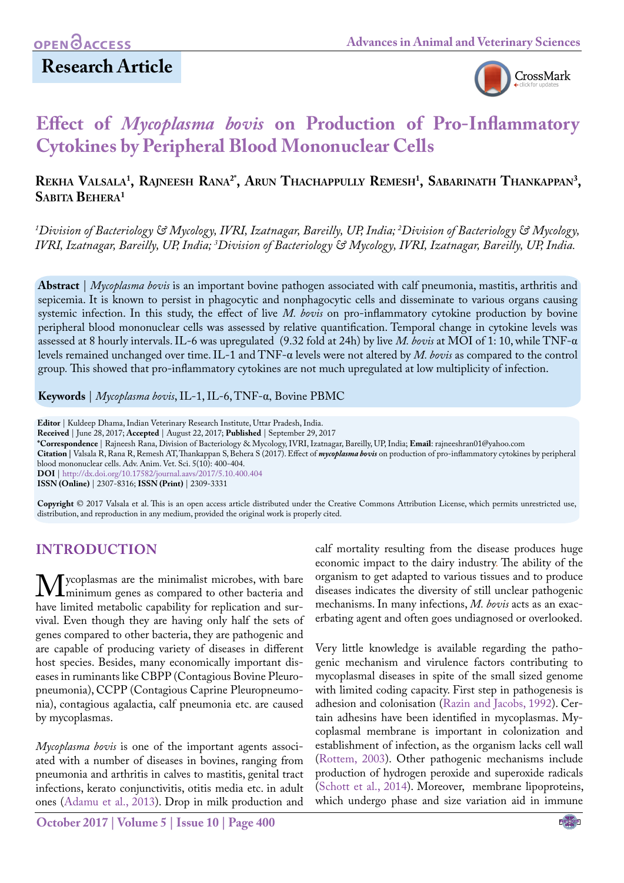## **Research Article**



# **Effect of** *Mycoplasma bovis* **on Production of Pro-Inflammatory Cytokines by Peripheral Blood Mononuclear Cells**

### $\mathbf{R}$ ekha Valsala<sup>1</sup>, Rajneesh Rana<sup>2</sup>°, Arun Thachappully Remesh<sup>1</sup>, Sabarinath Thankappan<sup>3</sup>, **Sabita Behera1**

*1 Division of Bacteriology & Mycology, IVRI, Izatnagar, Bareilly, UP, India; 2 Division of Bacteriology & Mycology, IVRI, Izatnagar, Bareilly, UP, India; 3 Division of Bacteriology & Mycology, IVRI, Izatnagar, Bareilly, UP, India.*

**Abstract** | *Mycoplasma bovis* is an important bovine pathogen associated with calf pneumonia, mastitis, arthritis and sepicemia. It is known to persist in phagocytic and nonphagocytic cells and disseminate to various organs causing systemic infection. In this study, the effect of live *M. bovis* on pro-inflammatory cytokine production by bovine peripheral blood mononuclear cells was assessed by relative quantification. Temporal change in cytokine levels was assessed at 8 hourly intervals. IL-6 was upregulated (9.32 fold at 24h) by live *M. bovis* at MOI of 1: 10, while TNF-α levels remained unchanged over time. IL-1 and TNF-α levels were not altered by *M. bovis* as compared to the control group*.* This showed that pro-inflammatory cytokines are not much upregulated at low multiplicity of infection.

**Keywords** | *Mycoplasma bovis*, IL-1, IL-6, TNF-α, Bovine PBMC

**Editor** | Kuldeep Dhama, Indian Veterinary Research Institute, Uttar Pradesh, India.

**Received** | June 28, 2017; **Accepted** | August 22, 2017; **Published** | September 29, 2017

**\*Correspondence** | Rajneesh Rana, Division of Bacteriology & Mycology, IVRI, Izatnagar, Bareilly, UP, India; **Email**: rajneeshran01@yahoo.com

**Citation |** Valsala R, Rana R, Remesh AT, Thankappan S, Behera S (2017). Effect of *mycoplasma bovis* on production of pro-inflammatory cytokines by peripheral blood mononuclear cells. Adv. Anim. Vet. Sci. 5(10): 400-404.

**DOI** | <http://dx.doi.org/10.17582/journal.aavs/2017/5.10.400.404>

**ISSN (Online)** | 2307-8316; **ISSN (Print)** | 2309-3331

**Copyright** © 2017 Valsala et al. This is an open access article distributed under the Creative Commons Attribution License, which permits unrestricted use, distribution, and reproduction in any medium, provided the original work is properly cited.

### **INTRODUCTION**

**M** ycoplasmas are the minimalist microbes, with bare<br>have limited metabolic canability for replication and surhave limited metabolic capability for replication and survival. Even though they are having only half the sets of genes compared to other bacteria, they are pathogenic and are capable of producing variety of diseases in different host species. Besides, many economically important diseases in ruminants like CBPP (Contagious Bovine Pleuropneumonia), CCPP (Contagious Caprine Pleuropneumonia), contagious agalactia, calf pneumonia etc. are caused by mycoplasmas.

*Mycoplasma bovis* is one of the important agents associated with a number of diseases in bovines, ranging from pneumonia and arthritis in calves to mastitis, genital tract infections, kerato conjunctivitis, otitis media etc. in adult ones [\(Adamu et al., 2013\)](#page-3-0). Drop in milk production and

**October 2017 | Volume 5 | Issue 10 | Page 400**

calf mortality resulting from the disease produces huge economic impact to the dairy industry. The ability of the organism to get adapted to various tissues and to produce diseases indicates the diversity of still unclear pathogenic mechanisms. In many infections, *M. bovis* acts as an exacerbating agent and often goes undiagnosed or overlooked.

Very little knowledge is available regarding the pathogenic mechanism and virulence factors contributing to mycoplasmal diseases in spite of the small sized genome with limited coding capacity. First step in pathogenesis is adhesion and colonisation ([Razin and Jacobs, 1992](#page-4-0)). Certain adhesins have been identified in mycoplasmas. Mycoplasmal membrane is important in colonization and establishment of infection, as the organism lacks cell wall [\(Rottem, 2003](#page-4-1)). Other pathogenic mechanisms include production of hydrogen peroxide and superoxide radicals [\(Schott et al., 2014](#page-4-2)). Moreover, membrane lipoproteins, which undergo phase and size variation aid in immune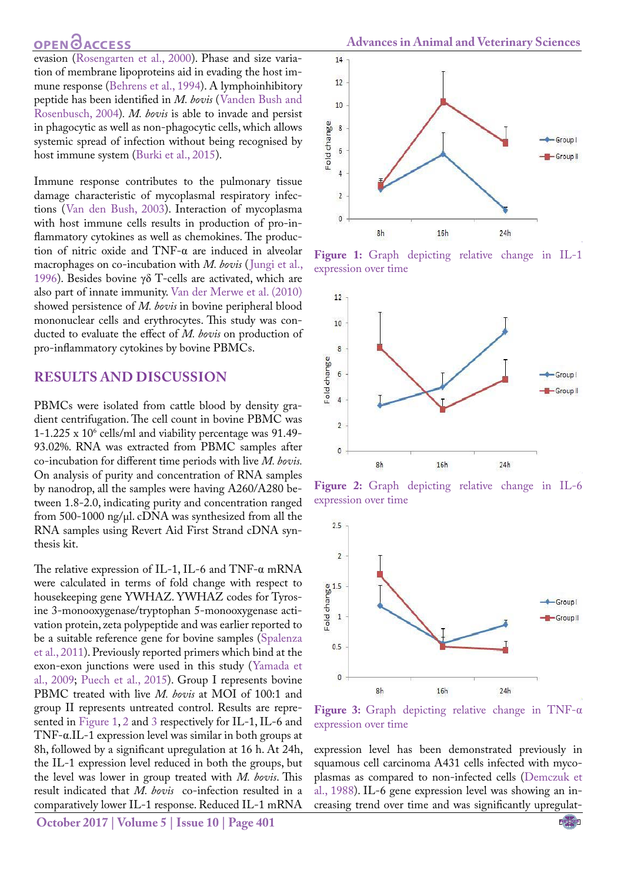### **OPEN**OACCESS

evasion [\(Rosengarten et al., 2000\)](#page-4-3). Phase and size variation of membrane lipoproteins aid in evading the host immune response [\(Behrens et al., 1994](#page-3-1)). A lymphoinhibitory peptide has been identified in *M. bovis* ([Vanden Bush and](#page-4-4) [Rosenbusch, 2004](#page-4-4))*. M. bovis* is able to invade and persist in phagocytic as well as non-phagocytic cells, which allows systemic spread of infection without being recognised by host immune system ([Burki et al., 2015\)](#page-3-2).

Immune response contributes to the pulmonary tissue damage characteristic of mycoplasmal respiratory infections ([Van den Bush, 2003](#page-4-4)). Interaction of mycoplasma with host immune cells results in production of pro-inflammatory cytokines as well as chemokines. The production of nitric oxide and TNF-α are induced in alveolar macrophages on co-incubation with *M. bovis* ([Jungi et al.,](#page-3-3) [1996](#page-3-3)). Besides bovine γδ T-cells are activated, which are also part of innate immunity. [Van der Merwe et al. \(2010\)](#page-4-5) showed persistence of *M. bovis* in bovine peripheral blood mononuclear cells and erythrocytes. This study was conducted to evaluate the effect of *M. bovis* on production of pro-inflammatory cytokines by bovine PBMCs.

#### **RESULTS AND DISCUSSION**

PBMCs were isolated from cattle blood by density gradient centrifugation. The cell count in bovine PBMC was 1-1.225 x 106 cells/ml and viability percentage was 91.49- 93.02%. RNA was extracted from PBMC samples after co-incubation for different time periods with live *M. bovis.*  On analysis of purity and concentration of RNA samples by nanodrop, all the samples were having A260/A280 between 1.8-2.0, indicating purity and concentration ranged from 500-1000 ng/µl. cDNA was synthesized from all the RNA samples using Revert Aid First Strand cDNA synthesis kit.

The relative expression of IL-1, IL-6 and TNF- $\alpha$  mRNA were calculated in terms of fold change with respect to housekeeping gene YWHAZ. YWHAZ codes for Tyrosine 3-monooxygenase/tryptophan 5-monooxygenase activation protein, zeta polypeptide and was earlier reported to be a suitable reference gene for bovine samples ([Spalenza](#page-4-6) [et al., 2011\)](#page-4-6). Previously reported primers which bind at the exon-exon junctions were used in this study ([Yamada et](#page-4-7) [al., 2009;](#page-4-7) [Puech et al., 2015\)](#page-4-8). Group I represents bovine PBMC treated with live *M. bovis* at MOI of 100:1 and group II represents untreated control. Results are represented in [Figure 1](#page-1-0), [2](#page-1-1) and 3 respectively for IL-1, IL-6 and TNF-α.IL-1 expression level was similar in both groups at 8h, followed by a significant upregulation at 16 h. At 24h, the IL-1 expression level reduced in both the groups, but the level was lower in group treated with *M. bovis*. This result indicated that *M. bovis* co-infection resulted in a comparatively lower IL-1 response. Reduced IL-1 mRNA



<span id="page-1-0"></span>**Figure 1:** Graph depicting relative change in IL-1 expression over time



<span id="page-1-1"></span>**Figure 2:** Graph depicting relative change in IL-6 expression over time



**Figure 3:** Graph depicting relative change in TNF-α expression over time

expression level has been demonstrated previously in squamous cell carcinoma A431 cells infected with mycoplasmas as compared to non-infected cells [\(Demczuk et](#page-3-4)  [al., 1988\)](#page-3-4). IL-6 gene expression level was showing an increasing trend over time and was significantly upregulat-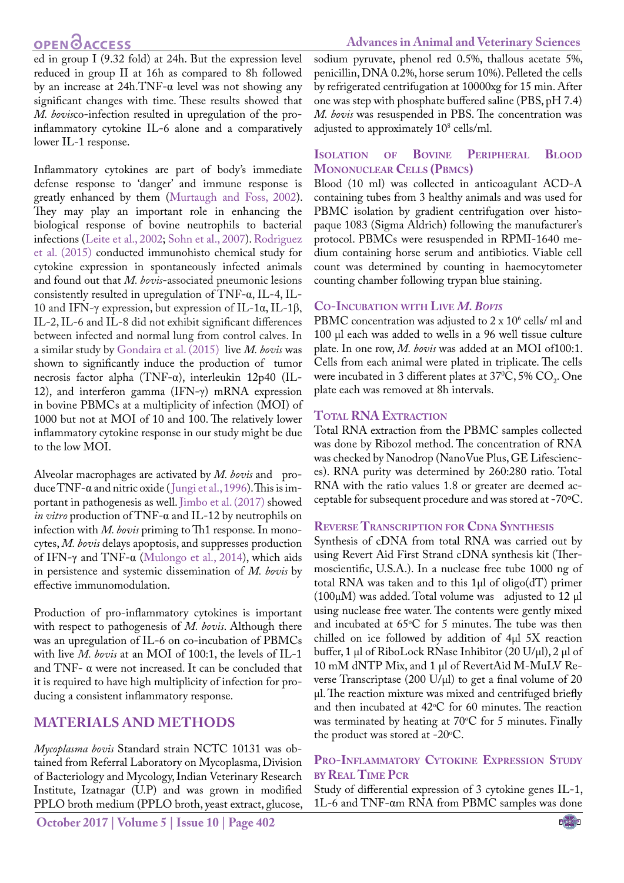## **OPEN**<sub>d</sub>

ed in group I (9.32 fold) at 24h. But the expression level reduced in group II at 16h as compared to 8h followed by an increase at  $24h$ .TNF- $\alpha$  level was not showing any significant changes with time. These results showed that *M. bovis*co-infection resulted in upregulation of the proinflammatory cytokine IL-6 alone and a comparatively lower IL-1 response.

Inflammatory cytokines are part of body's immediate defense response to 'danger' and immune response is greatly enhanced by them ([Murtaugh and Foss, 2002\)](#page-4-9). They may play an important role in enhancing the biological response of bovine neutrophils to bacterial infections (Leite et al., 2002; [Sohn et al., 2007\)](#page-4-10). [Rodriguez](#page-4-11) [et al. \(2015\)](#page-4-11) conducted immunohisto chemical study for cytokine expression in spontaneously infected animals and found out that *M. bovis*-associated pneumonic lesions consistently resulted in upregulation of TNF-α, IL-4, IL-10 and IFN-γ expression, but expression of IL-1α, IL-1β, IL-2, IL-6 and IL-8 did not exhibit significant differences between infected and normal lung from control calves. In a similar study by [Gondaira et al. \(2015\)](#page-3-5) live *M. bovis* was shown to significantly induce the production of tumor necrosis factor alpha (TNF-α), interleukin 12p40 (IL-12), and interferon gamma (IFN-γ) mRNA expression in bovine PBMCs at a multiplicity of infection (MOI) of 1000 but not at MOI of 10 and 100. The relatively lower inflammatory cytokine response in our study might be due to the low MOI.

Alveolar macrophages are activated by *M. bovis* and produce TNF-α and nitric oxide ([Jungi et al., 1996](#page-3-3)). This is important in pathogenesis as well[. Jimbo et al. \(2017\)](#page-3-6) showed *in vitro* production of TNF-α and IL-12 by neutrophils on infection with *M. bovis* priming to Th1 response*.* In monocytes, *M. bovis* delays apoptosis, and suppresses production of IFN-γ and TNF-α ([Mulongo et al., 2014](#page-4-12)), which aids in persistence and systemic dissemination of *M. bovis* by effective immunomodulation.

Production of pro-inflammatory cytokines is important with respect to pathogenesis of *M. bovis*. Although there was an upregulation of IL-6 on co-incubation of PBMCs with live *M. bovis* at an MOI of 100:1, the levels of IL-1 and TNF- α were not increased. It can be concluded that it is required to have high multiplicity of infection for producing a consistent inflammatory response.

### **MATERIALS AND METHODS**

*Mycoplasma bovis* Standard strain NCTC 10131 was obtained from Referral Laboratory on Mycoplasma, Division of Bacteriology and Mycology, Indian Veterinary Research Institute, Izatnagar (U.P) and was grown in modified PPLO broth medium (PPLO broth, yeast extract, glucose,

sodium pyruvate, phenol red 0.5%, thallous acetate 5%, penicillin, DNA 0.2%, horse serum 10%). Pelleted the cells by refrigerated centrifugation at 10000xg for 15 min. After one was step with phosphate buffered saline (PBS, pH 7.4) *M. bovis* was resuspended in PBS. The concentration was adjusted to approximately 10<sup>8</sup> cells/ml.

#### **Isolation of Bovine Peripheral Blood Mononuclear Cells (Pbmcs)**

Blood (10 ml) was collected in anticoagulant ACD-A containing tubes from 3 healthy animals and was used for PBMC isolation by gradient centrifugation over histopaque 1083 (Sigma Aldrich) following the manufacturer's protocol. PBMCs were resuspended in RPMI-1640 medium containing horse serum and antibiotics. Viable cell count was determined by counting in haemocytometer counting chamber following trypan blue staining.

#### **Co-Incubation with Live** *M. Bovis*

PBMC concentration was adjusted to  $2 \times 10^6$  cells/ ml and 100 µl each was added to wells in a 96 well tissue culture plate. In one row, *M. bovis* was added at an MOI of100:1. Cells from each animal were plated in triplicate. The cells were incubated in 3 different plates at 37°C, 5%  $CO<sub>2</sub>$ . One plate each was removed at 8h intervals.

#### **Total RNA Extraction**

Total RNA extraction from the PBMC samples collected was done by Ribozol method. The concentration of RNA was checked by Nanodrop (NanoVue Plus, GE Lifesciences). RNA purity was determined by 260:280 ratio. Total RNA with the ratio values 1.8 or greater are deemed acceptable for subsequent procedure and was stored at -70ºC.

#### **REVERSE TRANSCRIPTION FOR CDNA SYNTHESIS**

Synthesis of cDNA from total RNA was carried out by using Revert Aid First Strand cDNA synthesis kit (Thermoscientific, U.S.A.). In a nuclease free tube 1000 ng of total RNA was taken and to this 1 $\mu$ l of oligo(dT) primer (100µM) was added. Total volume was adjusted to 12 µl using nuclease free water. The contents were gently mixed and incubated at  $65^{\circ}$ C for 5 minutes. The tube was then chilled on ice followed by addition of 4µl 5X reaction buffer, 1 µl of RiboLock RNase Inhibitor (20 U/µl), 2 µl of 10 mM dNTP Mix, and 1 µl of RevertAid M-MuLV Reverse Transcriptase (200 U/µl) to get a final volume of 20 µl. The reaction mixture was mixed and centrifuged briefly and then incubated at  $42^{\circ}$ C for 60 minutes. The reaction was terminated by heating at 70°C for 5 minutes. Finally the product was stored at  $-20^{\circ}$ C.

#### **Pro-Inflammatory Cytokine Expression Study by Real Time Pcr**

Study of differential expression of 3 cytokine genes IL-1, 1L-6 and TNF-αm RNA from PBMC samples was done

#### **Advances in Animal and Veterinary Sciences**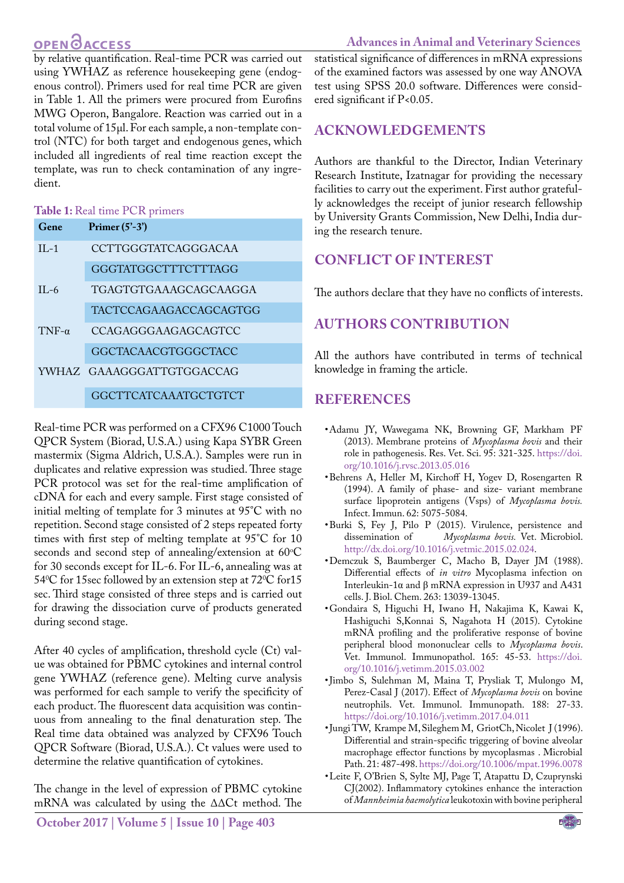## **OPEN**OACCESS

#### **Advances in Animal and Veterinary Sciences**

by relative quantification. Real-time PCR was carried out using YWHAZ as reference housekeeping gene (endogenous control). Primers used for real time PCR are given in Table 1. All the primers were procured from Eurofins MWG Operon, Bangalore. Reaction was carried out in a total volume of 15µl. For each sample, a non-template control (NTC) for both target and endogenous genes, which included all ingredients of real time reaction except the template, was run to check contamination of any ingredient.

#### **Table 1:** Real time PCR primers

| Gene         | Primer $(5'-3')$            |
|--------------|-----------------------------|
| $II - 1$     | <b>CCTTGGGTATCAGGGACAA</b>  |
|              | GGGTATGGCTTTCTTTAGG         |
| $H - 6$      | TGAGTGTGAAAGCAGCAAGGA       |
|              | TACTCCAGAAGACCAGCAGTGG      |
| $TNF-\alpha$ | <b>CCAGAGGGAAGAGCAGTCC</b>  |
|              | <b>GGCTACAACGTGGGCTACC</b>  |
|              | YWHAZ GAAAGGGATTGTGGACCAG   |
|              | <b>GGCTTCATCAAATGCTGTCT</b> |

Real-time PCR was performed on a CFX96 C1000 Touch QPCR System (Biorad, U.S.A.) using Kapa SYBR Green mastermix (Sigma Aldrich, U.S.A.). Samples were run in duplicates and relative expression was studied. Three stage PCR protocol was set for the real-time amplification of cDNA for each and every sample. First stage consisted of initial melting of template for 3 minutes at 95°C with no repetition. Second stage consisted of 2 steps repeated forty times with first step of melting template at 95°C for 10 seconds and second step of annealing/extension at  $60^{\circ}$ C for 30 seconds except for IL-6. For IL-6, annealing was at 54°C for 15sec followed by an extension step at 72°C for 15 sec. Third stage consisted of three steps and is carried out for drawing the dissociation curve of products generated during second stage.

After 40 cycles of amplification, threshold cycle (Ct) value was obtained for PBMC cytokines and internal control gene YWHAZ (reference gene). Melting curve analysis was performed for each sample to verify the specificity of each product. The fluorescent data acquisition was continuous from annealing to the final denaturation step. The Real time data obtained was analyzed by CFX96 Touch QPCR Software (Biorad, U.S.A.). Ct values were used to determine the relative quantification of cytokines.

The change in the level of expression of PBMC cytokine mRNA was calculated by using the ΔΔCt method. The

statistical significance of differences in mRNA expressions of the examined factors was assessed by one way ANOVA test using SPSS 20.0 software. Differences were considered significant if P<0.05.

## **ACKNOWLEDGEMENTs**

Authors are thankful to the Director, Indian Veterinary Research Institute, Izatnagar for providing the necessary facilities to carry out the experiment. First author gratefully acknowledges the receipt of junior research fellowship by University Grants Commission, New Delhi, India during the research tenure.

## **Conflict of interest**

The authors declare that they have no conflicts of interests.

## **Authors Contribution**

All the authors have contributed in terms of technical knowledge in framing the article.

### **REFERENCES**

- <span id="page-3-0"></span>• Adamu JY, Wawegama NK, Browning GF, Markham PF (2013). Membrane proteins of *Mycoplasma bovis* and their role in pathogenesis. Res. Vet. Sci. 95: 321-325. [https://doi.](https://doi.org/10.1016/j.rvsc.2013.05.016 ) [org/10.1016/j.rvsc.2013.05.016](https://doi.org/10.1016/j.rvsc.2013.05.016 )
- <span id="page-3-1"></span>• Behrens A, Heller M, Kirchoff H, Yogev D, Rosengarten R (1994). A family of phase- and size- variant membrane surface lipoprotein antigens (Vsps) of *Mycoplasma bovis.*  Infect. Immun. 62: 5075-5084.
- <span id="page-3-2"></span>• Burki S, Fey J, Pilo P (2015). Virulence, persistence and dissemination of *Mycoplasma bovis*. Vet. Microbiol. Mycoplasma bovis. Vet. Microbiol. [http://dx.doi.org/10.1016/j.vetmic.2015.02.024.](http://dx.doi.org/10.1016/j.vetmic.2015.02.024)
- <span id="page-3-4"></span>• Demczuk S, Baumberger C, Macho B, Dayer JM (1988). Differential effects of *in vitro* Mycoplasma infection on Interleukin-1α and β mRNA expression in U937 and A431 cells. J. Biol. Chem. 263: 13039-13045.
- <span id="page-3-5"></span>• Gondaira S, Higuchi H, Iwano H, Nakajima K, Kawai K, Hashiguchi S,Konnai S, Nagahota H (2015). Cytokine mRNA profiling and the proliferative response of bovine peripheral blood mononuclear cells to *Mycoplasma bovis*. Vet. Immunol. Immunopathol. 165: 45-53. [https://doi.](https://doi.org/10.1016/j.vetimm.2015.03.002 ) [org/10.1016/j.vetimm.2015.03.002](https://doi.org/10.1016/j.vetimm.2015.03.002 )
- <span id="page-3-6"></span>• Jimbo S, Sulehman M, Maina T, Prysliak T, Mulongo M, Perez-Casal J (2017). Effect of *Mycoplasma bovis* on bovine neutrophils. Vet. Immunol. Immunopath. 188: 27-33. [https://doi.org/10.1016/j.vetimm.2017.04.011](https://doi.org/10.1016/j.vetimm.2017.04.011 )
- <span id="page-3-3"></span>• Jungi TW, Krampe M, Sileghem M, GriotCh, Nicolet J (1996). Differential and strain-specific triggering of bovine alveolar macrophage effector functions by mycoplasmas . Microbial Path. 21: 487-498. [https://doi.org/10.1006/mpat.1996.0078](https://doi.org/10.1006/mpat.1996.0078 )
- • Leite F, O'Brien S, Sylte MJ, Page T, Atapattu D, Czuprynski CJ(2002). Inflammatory cytokines enhance the interaction of *Mannheimia haemolytica* leukotoxin with bovine peripheral